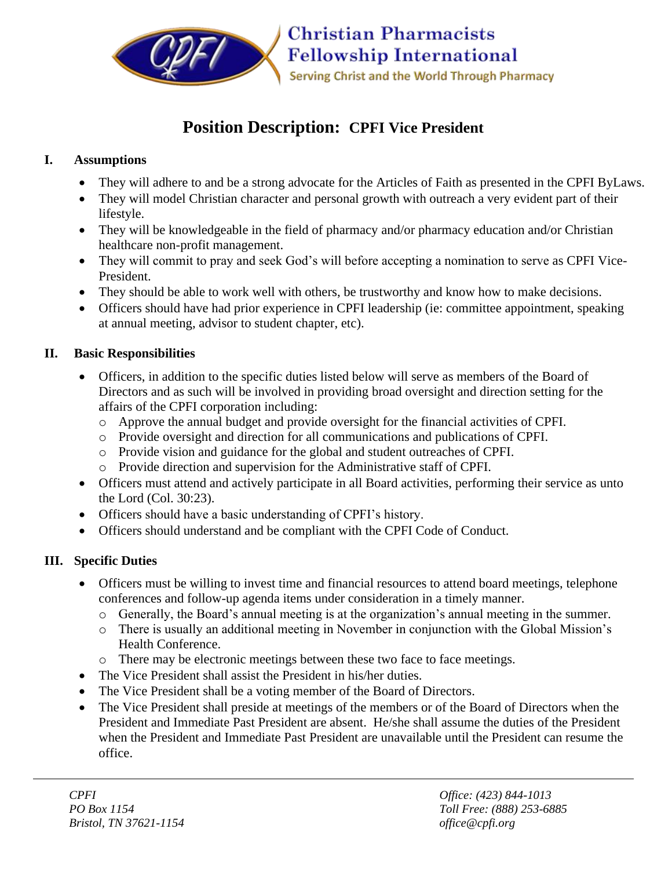

# **Position Description: CPFI Vice President**

## **I. Assumptions**

- They will adhere to and be a strong advocate for the Articles of Faith as presented in the CPFI ByLaws.
- They will model Christian character and personal growth with outreach a very evident part of their lifestyle.
- They will be knowledgeable in the field of pharmacy and/or pharmacy education and/or Christian healthcare non-profit management.
- They will commit to pray and seek God's will before accepting a nomination to serve as CPFI Vice-President.
- They should be able to work well with others, be trustworthy and know how to make decisions.
- Officers should have had prior experience in CPFI leadership (ie: committee appointment, speaking at annual meeting, advisor to student chapter, etc).

### **II. Basic Responsibilities**

- Officers, in addition to the specific duties listed below will serve as members of the Board of Directors and as such will be involved in providing broad oversight and direction setting for the affairs of the CPFI corporation including:
	- o Approve the annual budget and provide oversight for the financial activities of CPFI.
	- o Provide oversight and direction for all communications and publications of CPFI.
	- o Provide vision and guidance for the global and student outreaches of CPFI.
	- o Provide direction and supervision for the Administrative staff of CPFI.
- Officers must attend and actively participate in all Board activities, performing their service as unto the Lord (Col. 30:23).
- Officers should have a basic understanding of CPFI's history.
- Officers should understand and be compliant with the CPFI Code of Conduct.

## **III. Specific Duties**

- Officers must be willing to invest time and financial resources to attend board meetings, telephone conferences and follow-up agenda items under consideration in a timely manner.
	- o Generally, the Board's annual meeting is at the organization's annual meeting in the summer.
	- o There is usually an additional meeting in November in conjunction with the Global Mission's Health Conference.
	- o There may be electronic meetings between these two face to face meetings.
- The Vice President shall assist the President in his/her duties.
- The Vice President shall be a voting member of the Board of Directors.
- The Vice President shall preside at meetings of the members or of the Board of Directors when the President and Immediate Past President are absent. He/she shall assume the duties of the President when the President and Immediate Past President are unavailable until the President can resume the office.